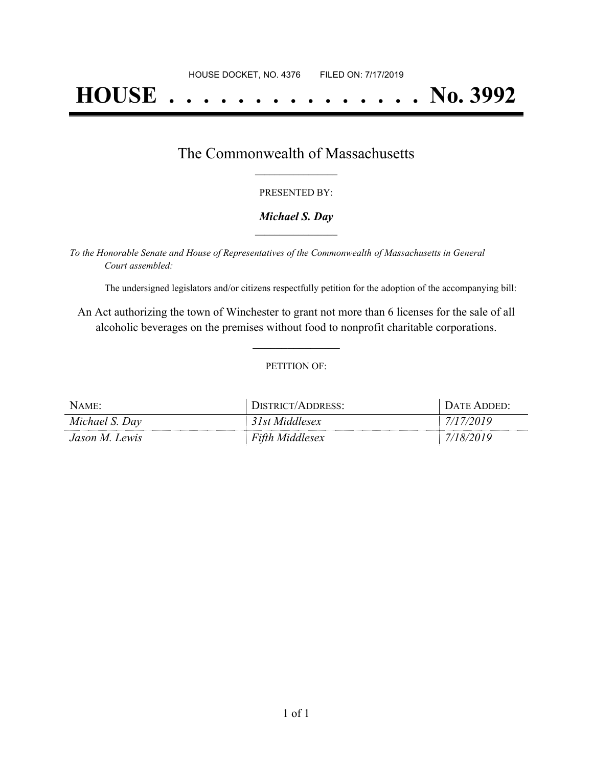# **HOUSE . . . . . . . . . . . . . . . No. 3992**

## The Commonwealth of Massachusetts **\_\_\_\_\_\_\_\_\_\_\_\_\_\_\_\_\_**

#### PRESENTED BY:

#### *Michael S. Day* **\_\_\_\_\_\_\_\_\_\_\_\_\_\_\_\_\_**

*To the Honorable Senate and House of Representatives of the Commonwealth of Massachusetts in General Court assembled:*

The undersigned legislators and/or citizens respectfully petition for the adoption of the accompanying bill:

An Act authorizing the town of Winchester to grant not more than 6 licenses for the sale of all alcoholic beverages on the premises without food to nonprofit charitable corporations.

**\_\_\_\_\_\_\_\_\_\_\_\_\_\_\_**

#### PETITION OF:

| $N$ AME:       | DISTRICT/ADDRESS:      | DATE ADDED: |
|----------------|------------------------|-------------|
| Michael S. Day | 31st Middlesex         | 7/17/2019   |
| Jason M. Lewis | <b>Fifth Middlesex</b> | 7/18/2019   |